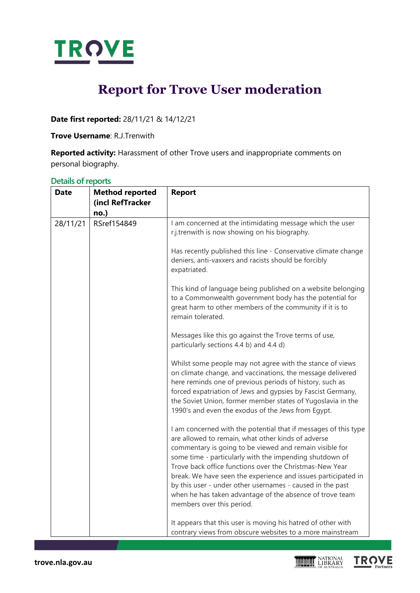

# **Report for Trove User moderation**

**Date first reported:** 28/11/21 & 14/12/21

**Trove Username**: R.J.Trenwith

**Reported activity:** Harassment of other Trove users and inappropriate comments on personal biography.

| $-$<br><b>Date</b> | <b>Method reported</b><br>(incl RefTracker<br>no.) | <b>Report</b>                                                                                                                                                                                                                                                                                                                                                                                                                                                                                                                 |
|--------------------|----------------------------------------------------|-------------------------------------------------------------------------------------------------------------------------------------------------------------------------------------------------------------------------------------------------------------------------------------------------------------------------------------------------------------------------------------------------------------------------------------------------------------------------------------------------------------------------------|
| 28/11/21           | RSref154849                                        | I am concerned at the intimidating message which the user<br>r.j.trenwith is now showing on his biography.                                                                                                                                                                                                                                                                                                                                                                                                                    |
|                    |                                                    | Has recently published this line - Conservative climate change<br>deniers, anti-vaxxers and racists should be forcibly<br>expatriated.                                                                                                                                                                                                                                                                                                                                                                                        |
|                    |                                                    | This kind of language being published on a website belonging<br>to a Commonwealth government body has the potential for<br>great harm to other members of the community if it is to<br>remain tolerated.                                                                                                                                                                                                                                                                                                                      |
|                    |                                                    | Messages like this go against the Trove terms of use,<br>particularly sections 4.4 b) and 4.4 d)                                                                                                                                                                                                                                                                                                                                                                                                                              |
|                    |                                                    | Whilst some people may not agree with the stance of views<br>on climate change, and vaccinations, the message delivered<br>here reminds one of previous periods of history, such as<br>forced expatriation of Jews and gypsies by Fascist Germany,<br>the Soviet Union, former member states of Yugoslavia in the<br>1990's and even the exodus of the Jews from Egypt.                                                                                                                                                       |
|                    |                                                    | I am concerned with the potential that if messages of this type<br>are allowed to remain, what other kinds of adverse<br>commentary is going to be viewed and remain visible for<br>some time - particularly with the impending shutdown of<br>Trove back office functions over the Christmas-New Year<br>break. We have seen the experience and issues participated in<br>by this user - under other usernames - caused in the past<br>when he has taken advantage of the absence of trove team<br>members over this period. |
|                    |                                                    | It appears that this user is moving his hatred of other with<br>contrary views from obscure websites to a more mainstream                                                                                                                                                                                                                                                                                                                                                                                                     |

**TROVE** 

### **Details of reports**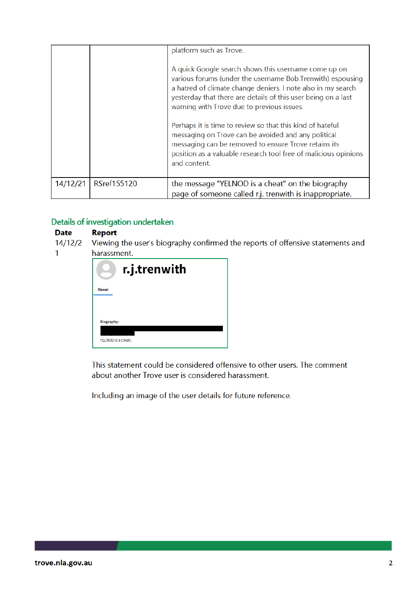|          |                    | platform such as Trove.<br>A quick Google search shows this username come up on<br>various forums (under the username Bob.Trenwith) espousing<br>a hatred of climate change deniers. I note also in my search<br>yesterday that there are details of this user being on a last<br>warning with Trove due to previous issues. |
|----------|--------------------|------------------------------------------------------------------------------------------------------------------------------------------------------------------------------------------------------------------------------------------------------------------------------------------------------------------------------|
|          |                    | Perhaps it is time to review so that this kind of hateful<br>messaging on Trove can be avoided and any political<br>messaging can be removed to ensure Trove retains its<br>position as a valuable research tool free of malicious opinions<br>and content.                                                                  |
| 14/12/21 | <b>RSref155120</b> | the message "YELNOD is a cheat" on the biography<br>page of someone called r.j. trenwith is inappropriate.                                                                                                                                                                                                                   |

# Details of investigation undertaken

#### **Date Report**

 $\mathbf{1}$ 

 $14/12/2$ Viewing the user's biography confirmed the reports of offensive statements and harassment.

|                    | r.j.trenwith |
|--------------------|--------------|
| <b>About</b>       |              |
| Biography:         |              |
| YELNOD is a cheat. |              |

This statement could be considered offensive to other users. The comment about another Trove user is considered harassment.

Including an image of the user details for future reference.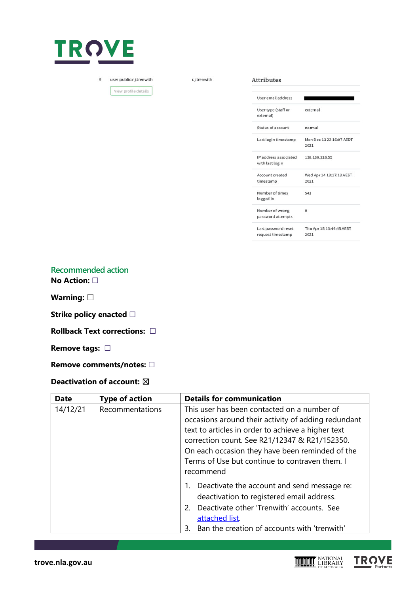

user:public:r.j.trenwith  $\overline{9}$ 

View profile details

r.j.trenwith

**Attributes** 

| User email address                       |                                  |
|------------------------------------------|----------------------------------|
| User type (staff or<br>extemal)          | external                         |
| Status of account                        | normal                           |
| Last login timestamp                     | Mon Dec 13 22:16:07 AEDT<br>2021 |
| IP address associated<br>with last login | 138.130.218.55                   |
| Account created                          | Wed Apr 14 13:17:13 AEST         |
| timestamp                                | 2021                             |
| Number of times                          | 541                              |
| logged in                                |                                  |
| Number of wrong                          | $\Omega$                         |
| password attempts                        |                                  |
| Last password reset                      | Thu Apr 15 13:46:45 AEST         |
| request timestamp                        | 2021                             |

**TROVE** 

**Recommended action No Action:** ☐

**Warning:** ☐

**Strike policy enacted** □

**Rollback Text corrections:** ☐

**Remove tags:** ☐

**Remove comments/notes:** ☐

## **Deactivation of account:** ☒

| <b>Date</b> | <b>Type of action</b> | <b>Details for communication</b>                                                                                                                                                                                                                                                                                            |
|-------------|-----------------------|-----------------------------------------------------------------------------------------------------------------------------------------------------------------------------------------------------------------------------------------------------------------------------------------------------------------------------|
| 14/12/21    | Recommentations       | This user has been contacted on a number of<br>occasions around their activity of adding redundant<br>text to articles in order to achieve a higher text<br>correction count. See R21/12347 & R21/152350.<br>On each occasion they have been reminded of the<br>Terms of Use but continue to contraven them. I<br>recommend |
|             |                       | 1. Deactivate the account and send message re:<br>deactivation to registered email address.<br>Deactivate other 'Trenwith' accounts. See<br>2.<br>attached list.<br>Ban the creation of accounts with 'trenwith'<br>3.                                                                                                      |

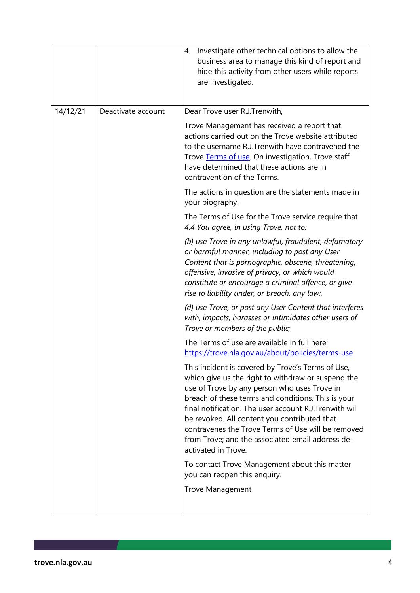|          |                    | 4. Investigate other technical options to allow the<br>business area to manage this kind of report and<br>hide this activity from other users while reports<br>are investigated.                                                                                                                                                                                                                                                                         |
|----------|--------------------|----------------------------------------------------------------------------------------------------------------------------------------------------------------------------------------------------------------------------------------------------------------------------------------------------------------------------------------------------------------------------------------------------------------------------------------------------------|
| 14/12/21 | Deactivate account | Dear Trove user R.J.Trenwith,                                                                                                                                                                                                                                                                                                                                                                                                                            |
|          |                    | Trove Management has received a report that<br>actions carried out on the Trove website attributed<br>to the username R.J.Trenwith have contravened the<br>Trove Terms of use. On investigation, Trove staff<br>have determined that these actions are in<br>contravention of the Terms.                                                                                                                                                                 |
|          |                    | The actions in question are the statements made in<br>your biography.                                                                                                                                                                                                                                                                                                                                                                                    |
|          |                    | The Terms of Use for the Trove service require that<br>4.4 You agree, in using Trove, not to:                                                                                                                                                                                                                                                                                                                                                            |
|          |                    | (b) use Trove in any unlawful, fraudulent, defamatory<br>or harmful manner, including to post any User<br>Content that is pornographic, obscene, threatening,<br>offensive, invasive of privacy, or which would<br>constitute or encourage a criminal offence, or give<br>rise to liability under, or breach, any law;.                                                                                                                                  |
|          |                    | (d) use Trove, or post any User Content that interferes<br>with, impacts, harasses or intimidates other users of<br>Trove or members of the public;                                                                                                                                                                                                                                                                                                      |
|          |                    | The Terms of use are available in full here:<br>https://trove.nla.gov.au/about/policies/terms-use                                                                                                                                                                                                                                                                                                                                                        |
|          |                    | This incident is covered by Trove's Terms of Use,<br>which give us the right to withdraw or suspend the<br>use of Trove by any person who uses Trove in<br>breach of these terms and conditions. This is your<br>final notification. The user account R.J.Trenwith will<br>be revoked. All content you contributed that<br>contravenes the Trove Terms of Use will be removed<br>from Trove; and the associated email address de-<br>activated in Trove. |
|          |                    | To contact Trove Management about this matter<br>you can reopen this enquiry.                                                                                                                                                                                                                                                                                                                                                                            |
|          |                    | <b>Trove Management</b>                                                                                                                                                                                                                                                                                                                                                                                                                                  |
|          |                    |                                                                                                                                                                                                                                                                                                                                                                                                                                                          |